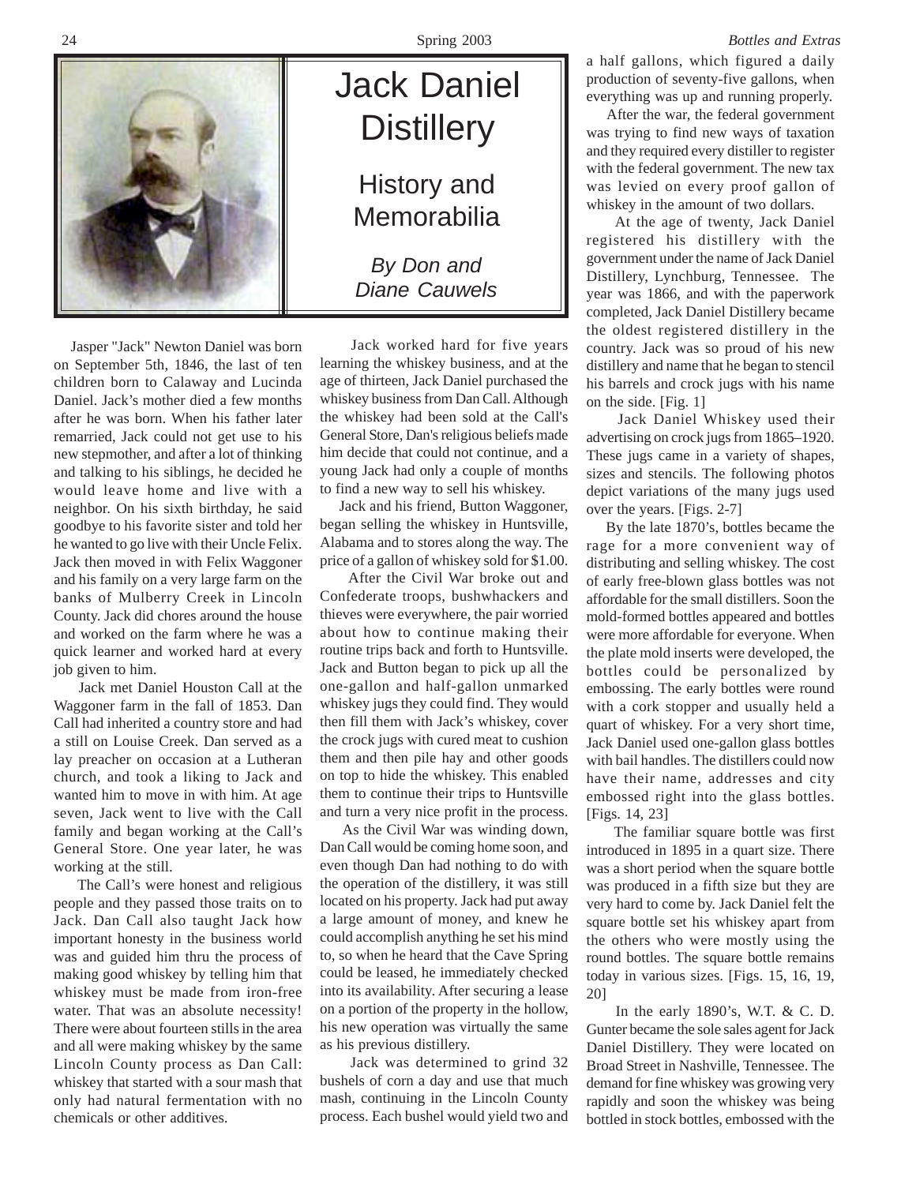

 Jasper "Jack" Newton Daniel was born on September 5th, 1846, the last of ten children born to Calaway and Lucinda Daniel. Jack's mother died a few months after he was born. When his father later remarried, Jack could not get use to his new stepmother, and after a lot of thinking and talking to his siblings, he decided he would leave home and live with a neighbor. On his sixth birthday, he said goodbye to his favorite sister and told her he wanted to go live with their Uncle Felix. Jack then moved in with Felix Waggoner and his family on a very large farm on the banks of Mulberry Creek in Lincoln County. Jack did chores around the house and worked on the farm where he was a quick learner and worked hard at every job given to him.

 Jack met Daniel Houston Call at the Waggoner farm in the fall of 1853. Dan Call had inherited a country store and had a still on Louise Creek. Dan served as a lay preacher on occasion at a Lutheran church, and took a liking to Jack and wanted him to move in with him. At age seven, Jack went to live with the Call family and began working at the Call's General Store. One year later, he was working at the still.

 The Call's were honest and religious people and they passed those traits on to Jack. Dan Call also taught Jack how important honesty in the business world was and guided him thru the process of making good whiskey by telling him that whiskey must be made from iron-free water. That was an absolute necessity! There were about fourteen stills in the area and all were making whiskey by the same Lincoln County process as Dan Call: whiskey that started with a sour mash that only had natural fermentation with no chemicals or other additives.



 Jack worked hard for five years learning the whiskey business, and at the age of thirteen, Jack Daniel purchased the whiskey business from Dan Call. Although the whiskey had been sold at the Call's General Store, Dan's religious beliefs made him decide that could not continue, and a young Jack had only a couple of months to find a new way to sell his whiskey.

 Jack and his friend, Button Waggoner, began selling the whiskey in Huntsville, Alabama and to stores along the way. The price of a gallon of whiskey sold for \$1.00.

 After the Civil War broke out and Confederate troops, bushwhackers and thieves were everywhere, the pair worried about how to continue making their routine trips back and forth to Huntsville. Jack and Button began to pick up all the one-gallon and half-gallon unmarked whiskey jugs they could find. They would then fill them with Jack's whiskey, cover the crock jugs with cured meat to cushion them and then pile hay and other goods on top to hide the whiskey. This enabled them to continue their trips to Huntsville and turn a very nice profit in the process.

 As the Civil War was winding down, Dan Call would be coming home soon, and even though Dan had nothing to do with the operation of the distillery, it was still located on his property. Jack had put away a large amount of money, and knew he could accomplish anything he set his mind to, so when he heard that the Cave Spring could be leased, he immediately checked into its availability. After securing a lease on a portion of the property in the hollow, his new operation was virtually the same as his previous distillery.

 Jack was determined to grind 32 bushels of corn a day and use that much mash, continuing in the Lincoln County process. Each bushel would yield two and

a half gallons, which figured a daily production of seventy-five gallons, when everything was up and running properly.

 After the war, the federal government was trying to find new ways of taxation and they required every distiller to register with the federal government. The new tax was levied on every proof gallon of whiskey in the amount of two dollars.

 At the age of twenty, Jack Daniel registered his distillery with the government under the name of Jack Daniel Distillery, Lynchburg, Tennessee. The year was 1866, and with the paperwork completed, Jack Daniel Distillery became the oldest registered distillery in the country. Jack was so proud of his new distillery and name that he began to stencil his barrels and crock jugs with his name on the side. [Fig. 1]

 Jack Daniel Whiskey used their advertising on crock jugs from 1865–1920. These jugs came in a variety of shapes, sizes and stencils. The following photos depict variations of the many jugs used over the years. [Figs. 2-7]

 By the late 1870's, bottles became the rage for a more convenient way of distributing and selling whiskey. The cost of early free-blown glass bottles was not affordable for the small distillers. Soon the mold-formed bottles appeared and bottles were more affordable for everyone. When the plate mold inserts were developed, the bottles could be personalized by embossing. The early bottles were round with a cork stopper and usually held a quart of whiskey. For a very short time, Jack Daniel used one-gallon glass bottles with bail handles. The distillers could now have their name, addresses and city embossed right into the glass bottles. [Figs. 14, 23]

 The familiar square bottle was first introduced in 1895 in a quart size. There was a short period when the square bottle was produced in a fifth size but they are very hard to come by. Jack Daniel felt the square bottle set his whiskey apart from the others who were mostly using the round bottles. The square bottle remains today in various sizes. [Figs. 15, 16, 19, 20]

 In the early 1890's, W.T. & C. D. Gunter became the sole sales agent for Jack Daniel Distillery. They were located on Broad Street in Nashville, Tennessee. The demand for fine whiskey was growing very rapidly and soon the whiskey was being bottled in stock bottles, embossed with the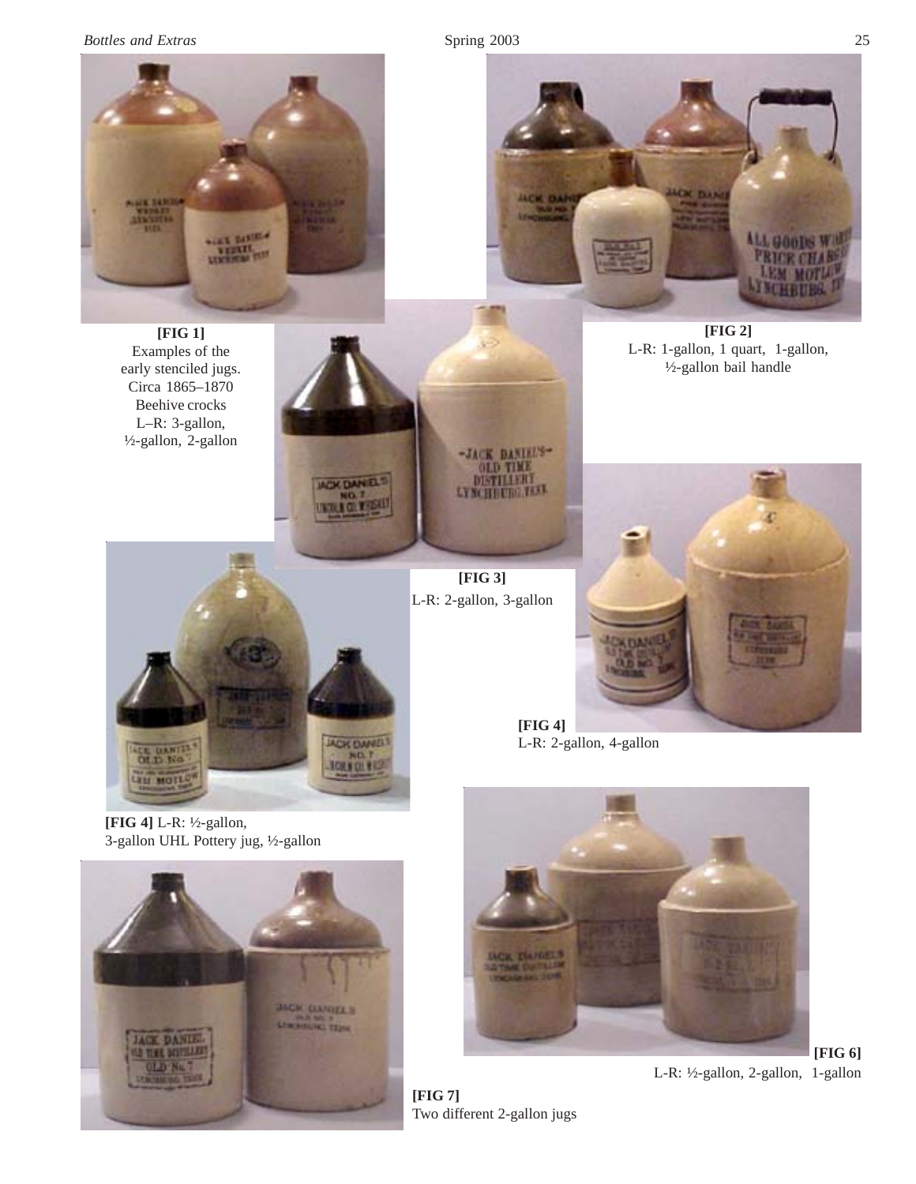*Bottles and Extras* Spring 2003 25



**[FIG 1]** Examples of the early stenciled jugs. Circa 1865–1870 Beehive crocks L–R: 3-gallon, ½-gallon, 2-gallon



ACK DANEL

**TORY OL BE** 

**[FIG 3]** L-R: 2-gallon, 3-gallon



**[FIG 4]** L-R: 2-gallon, 4-gallon



**[FIG 6]** L-R: ½-gallon, 2-gallon, 1-gallon

**[FIG 4]** L-R: ½-gallon, 3-gallon UHL Pottery jug, ½-gallon

OLD No.

LESS MOTLO





**[FIG 2]** L-R: 1-gallon, 1 quart, 1-gallon, ½-gallon bail handle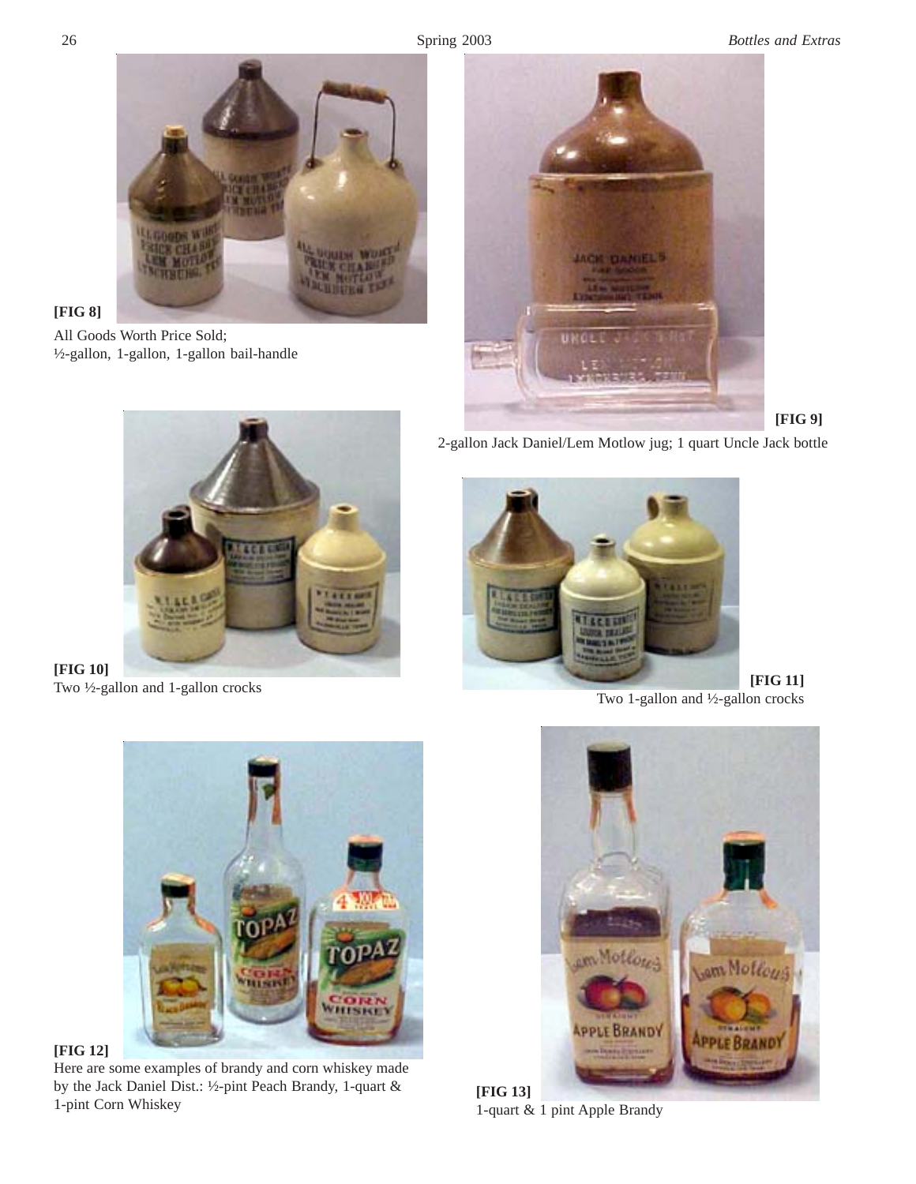

## **[FIG 8]**

All Goods Worth Price Sold; ½-gallon, 1-gallon, 1-gallon bail-handle



**[FIG 9]**



**[FIG 10]**

2-gallon Jack Daniel/Lem Motlow jug; 1 quart Uncle Jack bottle



Two 1-gallon and ½-gallon crocks



**[FIG 12]**

Here are some examples of brandy and corn whiskey made by the Jack Daniel Dist.: ½-pint Peach Brandy, 1-quart & 1-pint Corn Whiskey



**[FIG 13]** 1-quart & 1 pint Apple Brandy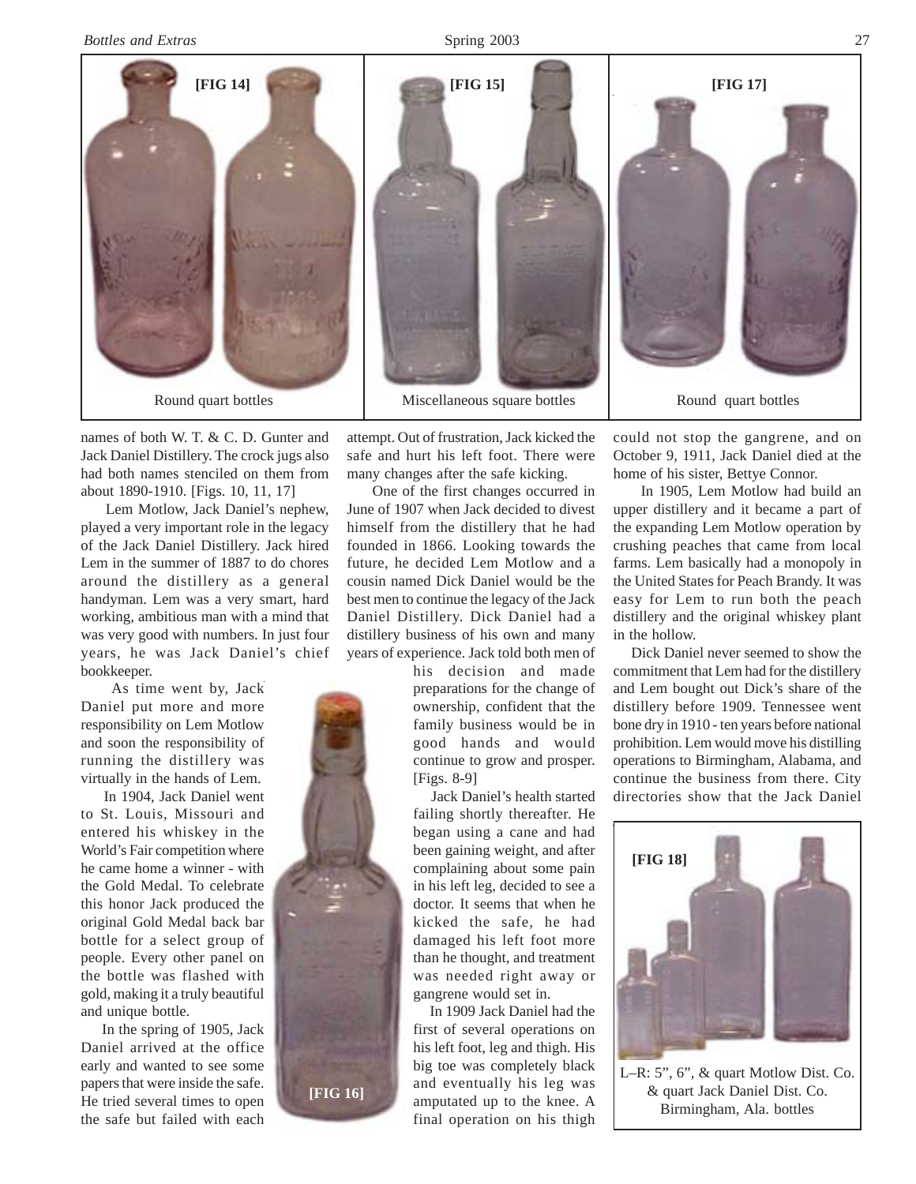

names of both W. T. & C. D. Gunter and Jack Daniel Distillery. The crock jugs also had both names stenciled on them from about 1890-1910. [Figs. 10, 11, 17]

 Lem Motlow, Jack Daniel's nephew, played a very important role in the legacy of the Jack Daniel Distillery. Jack hired Lem in the summer of 1887 to do chores around the distillery as a general handyman. Lem was a very smart, hard working, ambitious man with a mind that was very good with numbers. In just four years, he was Jack Daniel's chief bookkeeper.

 As time went by, Jack Daniel put more and more responsibility on Lem Motlow and soon the responsibility of running the distillery was virtually in the hands of Lem.

 In 1904, Jack Daniel went to St. Louis, Missouri and entered his whiskey in the World's Fair competition where he came home a winner - with the Gold Medal. To celebrate this honor Jack produced the original Gold Medal back bar bottle for a select group of people. Every other panel on the bottle was flashed with gold, making it a truly beautiful and unique bottle.

 In the spring of 1905, Jack Daniel arrived at the office early and wanted to see some papers that were inside the safe. He tried several times to open the safe but failed with each attempt. Out of frustration, Jack kicked the safe and hurt his left foot. There were many changes after the safe kicking.

 One of the first changes occurred in June of 1907 when Jack decided to divest himself from the distillery that he had founded in 1866. Looking towards the future, he decided Lem Motlow and a cousin named Dick Daniel would be the best men to continue the legacy of the Jack Daniel Distillery. Dick Daniel had a distillery business of his own and many years of experience. Jack told both men of

> his decision and made preparations for the change of ownership, confident that the family business would be in good hands and would continue to grow and prosper. [Figs. 8-9]

> Jack Daniel's health started failing shortly thereafter. He began using a cane and had been gaining weight, and after complaining about some pain in his left leg, decided to see a doctor. It seems that when he kicked the safe, he had damaged his left foot more than he thought, and treatment was needed right away or gangrene would set in.

 In 1909 Jack Daniel had the first of several operations on his left foot, leg and thigh. His big toe was completely black and eventually his leg was amputated up to the knee. A final operation on his thigh

could not stop the gangrene, and on October 9, 1911, Jack Daniel died at the home of his sister, Bettye Connor.

 In 1905, Lem Motlow had build an upper distillery and it became a part of the expanding Lem Motlow operation by crushing peaches that came from local farms. Lem basically had a monopoly in the United States for Peach Brandy. It was easy for Lem to run both the peach distillery and the original whiskey plant in the hollow.

 Dick Daniel never seemed to show the commitment that Lem had for the distillery and Lem bought out Dick's share of the distillery before 1909. Tennessee went bone dry in 1910 - ten years before national prohibition. Lem would move his distilling operations to Birmingham, Alabama, and continue the business from there. City directories show that the Jack Daniel



L–R: 5", 6", & quart Motlow Dist. Co. & quart Jack Daniel Dist. Co. Birmingham, Ala. bottles